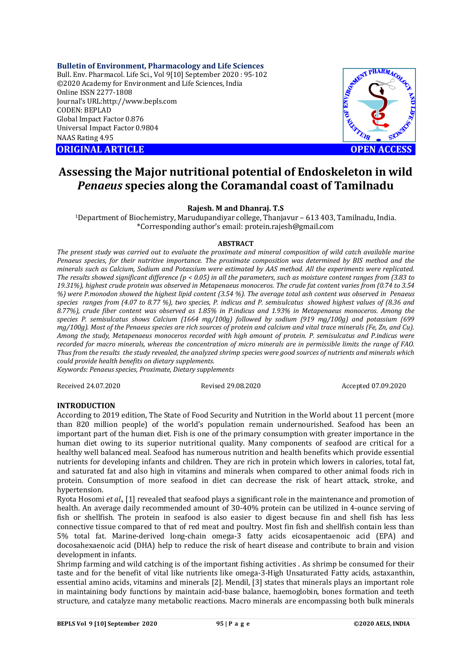**Bulletin of Environment, Pharmacology and Life Sciences** Bull. Env. Pharmacol. Life Sci., Vol 9[10] September 2020 : 95-102 ©2020 Academy for Environment and Life Sciences, India Online ISSN 2277-1808 Journal's URL:<http://www.bepls.com> CODEN: BEPLAD Global Impact Factor 0.876 Universal Impact Factor 0.9804 NAAS Rating 4.95

**ORIGINAL ARTICLE** And the contract of the contract of the contract of the contract of the contract of the contract of the contract of the contract of the contract of the contract of the contract of the contract of the con



# **Assessing the Major nutritional potential of Endoskeleton in wild**  *Penaeus* **species along the Coramandal coast of Tamilnadu**

# **Rajesh. M and Dhanraj. T.S**

<sup>1</sup>Department of Biochemistry, Marudupandiyar college, Thanjavur – 613 403, Tamilnadu, India. \*Corresponding author's email: [protein.rajesh@gmail.com](mailto:protein.rajesh@gmail.com)

### **ABSTRACT**

*The present study was carried out to evaluate the proximate and mineral composition of wild catch available marine Penaeus species, for their nutritive importance. The proximate composition was determined by BIS method and the minerals such as Calcium, Sodium and Potassium were estimated by AAS method. All the experiments were replicated. The results showed significant difference (p < 0.05) in all the parameters, such as moisture content ranges from (3.83 to 19.31%), highest crude protein was observed in Metapenaeus monoceros. The crude fat content varies from (0.74 to 3.54 %) were P.monodon showed the highest lipid content (3.54 %). The average total ash content was observed in Penaeus species ranges from (4.07 to 8.77 %), two species, P. indicus and P. semisulcatus showed highest values of (8.36 and 8.77%), crude fiber content was observed as 1.85% in P.indicus and 1.93% in Metapenaeus monoceros. Among the species P. semisulcatus shows Calcium (1664 mg/100g) followed by sodium (919 mg/100g) and potassium (699 mg/100g). Most of the Penaeus species are rich sources of protein and calcium and vital trace minerals (Fe, Zn, and Cu). Among the study, Metapenaeus monoceros recorded with high amount of protein. P. semisulcatus and P.indicus were recorded for macro minerals, whereas the concentration of micro minerals are in permissible limits the range of FAO. Thus from the results the study revealed, the analyzed shrimp species were good sources of nutrients and minerals which could provide health benefits on dietary supplements.*

*Keywords: Penaeus species, Proximate, Dietary supplements*

Received 24.07.2020 Revised 29.08.2020 Accepted 07.09.2020

# **INTRODUCTION**

According to 2019 edition, The State of Food Security and Nutrition in the World about 11 percent (more than 820 million people) of the world's population remain undernourished. Seafood has been an important part of the human diet. Fish is one of the primary consumption with greater importance in the human diet owing to its superior nutritional quality. Many components of seafood are critical for a healthy well balanced meal. Seafood has numerous nutrition and health benefits which provide essential nutrients for developing infants and children. They are rich in protein which lowers in calories, total fat, and saturated fat and also high in vitamins and minerals when compared to other animal foods rich in protein. Consumption of more seafood in diet can decrease the risk of heart attack, stroke, and hypertension.

Ryota Hosomi *et al*., [1] revealed that seafood plays a significant role in the maintenance and promotion of health. An average daily recommended amount of 30-40% protein can be utilized in 4-ounce serving of fish or shellfish. The protein in seafood is also easier to digest because fin and shell fish has less connective tissue compared to that of red meat and poultry. Most fin fish and shellfish contain less than 5% total fat. Marine-derived long-chain omega-3 fatty acids eicosapentaenoic acid (EPA) and docosahexaenoic acid (DHA) help to reduce the risk of heart disease and contribute to brain and vision development in infants.

Shrimp farming and wild catching is of the important fishing activities . As shrimp be consumed for their taste and for the benefit of vital like nutrients like omega-3-High Unsaturated Fatty acids, astaxanthin, essential amino acids, vitamins and minerals [2]. Mendil, [3] states that minerals plays an important role in maintaining body functions by maintain acid-base balance, haemoglobin, bones formation and teeth structure, and catalyze many metabolic reactions. Macro minerals are encompassing both bulk minerals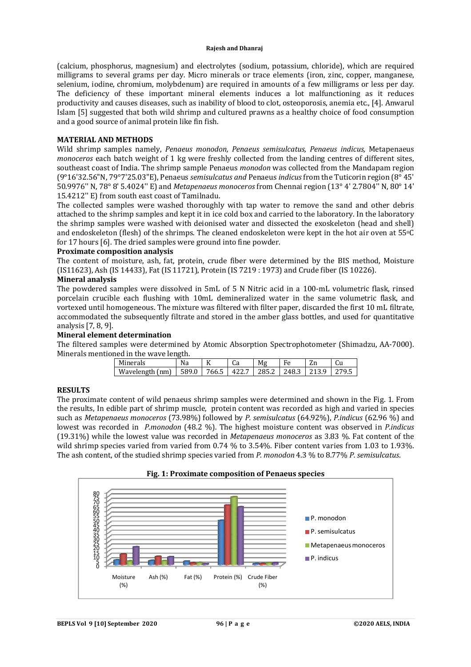(calcium, phosphorus, magnesium) and electrolytes (sodium, potassium, chloride), which are required milligrams to several grams per day. Micro minerals or trace elements (iron, zinc, copper, manganese, selenium, iodine, chromium, molybdenum) are required in amounts of a few milligrams or less per day. The deficiency of these important mineral elements induces a lot malfunctioning as it reduces productivity and causes diseases, such as inability of blood to clot, osteoporosis, anemia etc., [4]. Anwarul Islam [5] suggested that both wild shrimp and cultured prawns as a healthy choice of food consumption and a good source of animal protein like fin fish.

# **MATERIAL AND METHODS**

Wild shrimp samples namely, *Penaeus monodon, Penaeus semisulcatus, Penaeus indicus,* Metapenaeus *monoceros* each batch weight of 1 kg were freshly collected from the landing centres of different sites, southeast coast of India. The shrimp sample Penaeus *monodon* was collected from the Mandapam region (9°16'32.56"N, 79°7'25.03"E), Penaeus *semisulcatus and* Penaeus *indicus* from the Tuticorin region (8° 45' 50.9976'' N, 78° 8' 5.4024'' E) and *Metapenaeus monoceros* from Chennai region (13° 4' 2.7804'' N, 80° 14' 15.4212'' E) from south east coast of Tamilnadu.

The collected samples were washed thoroughly with tap water to remove the sand and other debris attached to the shrimp samples and kept it in ice cold box and carried to the laboratory. In the laboratory the shrimp samples were washed with deionised water and dissected the exoskeleton (head and shell) and endoskeleton (flesh) of the shrimps. The cleaned endoskeleton were kept in the hot air oven at 55°C for 17 hours [6]. The dried samples were ground into fine powder.

### **Proximate composition analysis**

The content of moisture, ash, fat, protein, crude fiber were determined by the BIS method, Moisture (IS11623), Ash (IS 14433), Fat (IS 11721), Protein (IS 7219 : 1973) and Crude fiber (IS 10226).

### **Mineral analysis**

The powdered samples were dissolved in 5mL of 5 N Nitric acid in a 100-mL volumetric flask, rinsed porcelain crucible each flushing with 10mL demineralized water in the same volumetric flask, and vortexed until homogeneous. The mixture was filtered with filter paper, discarded the first 10 mL filtrate, accommodated the subsequently filtrate and stored in the amber glass bottles, and used for quantitative analysis [7, 8, 9].

# **Mineral element determination**

The filtered samples were determined by Atomic Absorption Spectrophotometer (Shimadzu, AA-7000). Minerals mentioned in the wave length.

| Minerals        | Na    | K     | uα    | Mσ    | Fρ    | $\overline{ }$<br>ΔH | սս         |
|-----------------|-------|-------|-------|-------|-------|----------------------|------------|
| Wavelength (nm) | 589.0 | 766.5 | 422.7 | 285.2 | 248.3 |                      | 270 5<br>ט |

# **RESULTS**

The proximate content of wild penaeus shrimp samples were determined and shown in the Fig. 1. From the results, In edible part of shrimp muscle, protein content was recorded as high and varied in species such as *Metapenaeus monoceros* (73.98%) followed by *P. semisulcatus* (64.92%), *P.indicus* (62.96 %) and lowest was recorded in *P.monodon* (48.2 %). The highest moisture content was observed in *P.indicus* (19.31%) while the lowest value was recorded in *Metapenaeus monoceros* as 3.83 %. Fat content of the wild shrimp species varied from varied from 0.74 % to 3.54%. Fiber content varies from 1.03 to 1.93%. The ash content, of the studied shrimp species varied from *P. monodon* 4.3 % to 8.77% *P. semisulcatus*.



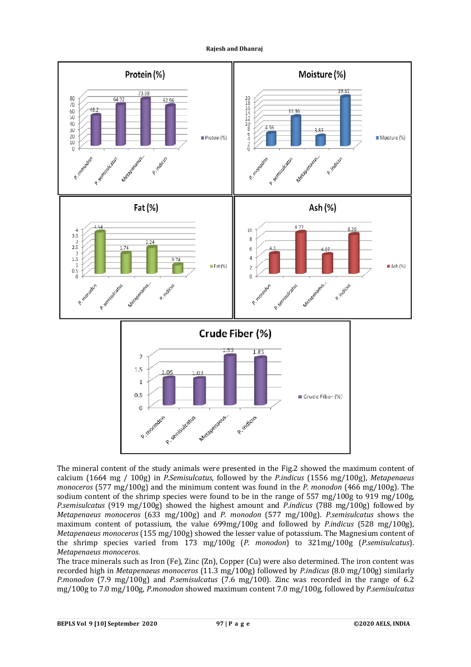

The mineral content of the study animals were presented in the Fig.2 showed the maximum content of calcium (1664 mg / 100g) in *P.Semisulcatus*, followed by the *P.indicus* (1556 mg/100g), *Metapenaeus monoceros* (577 mg/100g) and the minimum content was found in the *P. monodon* (466 mg/100g). The sodium content of the shrimp species were found to be in the range of  $557 \text{ mg}/100 \text{g}$  to  $919 \text{ mg}/100 \text{g}$ , *P.semisulcatus* (919 mg/100g) showed the highest amount and *P*.*indicus* (788 mg/100g) followed by *Metapenaeus monoceros* (633 mg/100g) and *P. monodon* (577 mg/100g). *P.semisulcatus* shows the maximum content of potassium, the value 699mg/100g and followed by *P.indicus* (528 mg/100g), *Metapenaeus monoceros* (155 mg/100g) showed the lesser value of potassium. The Magnesium content of the shrimp species varied from 173 mg/100g (*P. monodon*) to 321mg/100g (*P.semisulcatus*). *Metapenaeus monoceros*.

The trace minerals such as Iron (Fe), Zinc (Zn), Copper (Cu) were also determined. The iron content was recorded high in *Metapenaeus monoceros* (11.3 mg/100g) followed by *P.indicus* (8.0 mg/100g) similarly *P.monodon* (7.9 mg/100g) and *P.semisulcatus* (7.6 mg/100). Zinc was recorded in the range of 6.2 mg/100g to 7.0 mg/100g, *P.monodon* showed maximum content 7.0 mg/100g, followed by *P.semisulcatus*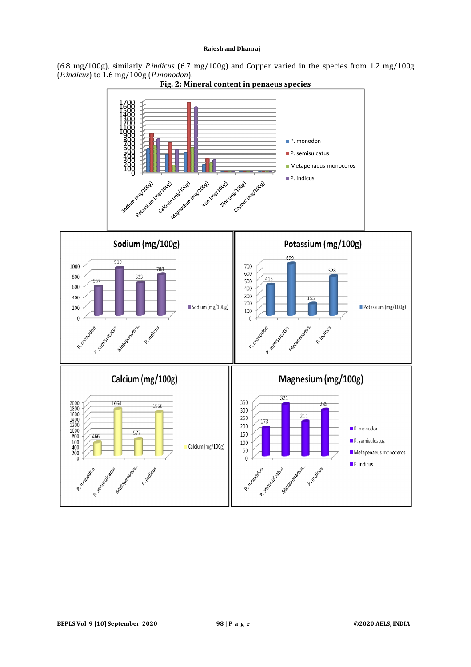(6.8 mg/100g), similarly *P.indicus* (6.7 mg/100g) and Copper varied in the species from 1.2 mg/100g (*P.indicus*) to 1.6 mg/100g (*P.monodon*).

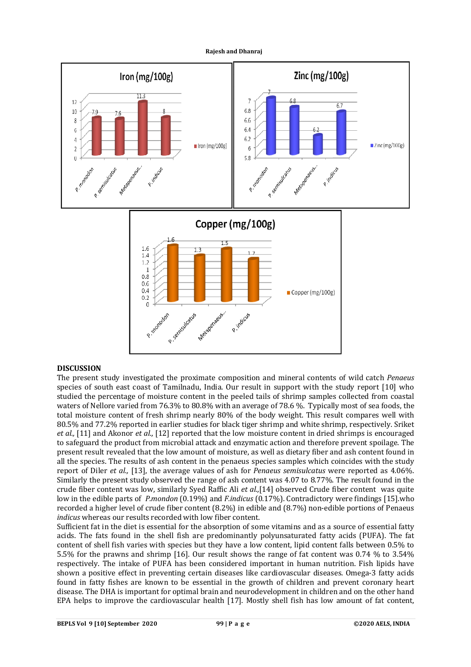![](_page_4_Figure_0.jpeg)

**Rajesh and Dhanraj**

# **DISCUSSION**

The present study investigated the proximate composition and mineral contents of wild catch *Penaeus*  species of south east coast of Tamilnadu, India. Our result in support with the study report [10] who studied the percentage of moisture content in the peeled tails of shrimp samples collected from coastal waters of Nellore varied from 76.3% to 80.8% with an average of 78.6 %. Typically most of sea foods, the total moisture content of fresh shrimp nearly 80% of the body weight. This result compares well with 80.5% and 77.2% reported in earlier studies for black tiger shrimp and white shrimp, respectively. Sriket *et al.,* [11] and Akonor *et al.,* [12] reported that the low moisture content in dried shrimps is encouraged to safeguard the product from microbial attack and enzymatic action and therefore prevent spoilage. The present result revealed that the low amount of moisture, as well as dietary fiber and ash content found in all the species. The results of ash content in the penaeus species samples which coincides with the study report of Diler *et al.,* [13], the average values of ash for *Penaeus semisulcatus* were reported as 4.06%. Similarly the present study observed the range of ash content was 4.07 to 8.77%. The result found in the crude fiber content was low, similarly Syed Raffic Ali *et al.,*[14] observed Crude fiber content was quite low in the edible parts of *P.mondon* (0.19%) and *F.indicus* (0.17%). Contradictory were findings [15].who recorded a higher level of crude fiber content (8.2%) in edible and (8.7%) non-edible portions of Penaeus *indicus* whereas our results recorded with low fiber content.

Sufficient fat in the diet is essential for the absorption of some vitamins and as a source of essential fatty acids. The fats found in the shell fish are predominantly polyunsaturated fatty acids (PUFA). The fat content of shell fish varies with species but they have a low content, lipid content falls between 0.5% to 5.5% for the prawns and shrimp [16]. Our result shows the range of fat content was 0.74 % to 3.54% respectively. The intake of PUFA has been considered important in human nutrition. Fish lipids have shown a positive effect in preventing certain diseases like cardiovascular diseases. Omega-3 fatty acids found in fatty fishes are known to be essential in the growth of children and prevent coronary heart disease. The DHA is important for optimal brain and neurodevelopment in children and on the other hand EPA helps to improve the cardiovascular health [17]. Mostly shell fish has low amount of fat content,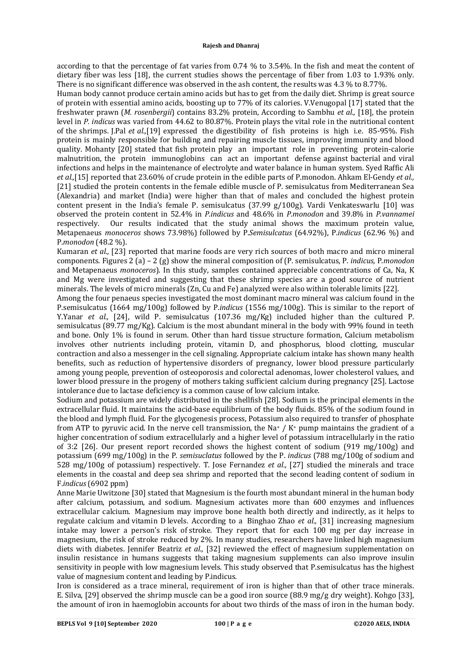according to that the percentage of fat varies from 0.74 % to 3.54%. In the fish and meat the content of dietary fiber was less [18], the current studies shows the percentage of fiber from 1.03 to 1.93% only. There is no significant difference was observed in the ash content, the results was 4.3 % to 8.77%.

Human body cannot produce certain amino acids but has to get from the daily diet. Shrimp is great source of protein with essential amino acids, boosting up to 77% of its calories. V.Venugopal [17] stated that the freshwater prawn (*M. rosenbergii*) contains 83.2% protein, According to Sambhu *et al.,* [18], the protein level in *P. indicus* was varied from 44.62 to 80.87%. Protein plays the vital role in the nutritional content of the shrimps. J.Pal *et al.,*[19] expressed the digestibility of fish proteins is high i.e. 85-95%. Fish protein is mainly responsible for building and repairing muscle tissues, improving immunity and blood quality. Mohanty [20] stated that fish protein play an important role in preventing protein-calorie malnutrition, the protein immunoglobins can act an important defense against bacterial and viral infections and helps in the maintenance of electrolyte and water balance in human system. Syed Raffic Ali *et al.,*[15] reported that 23.60% of crude protein in the edible parts of P.monodon. Ahkam El-Gendy *et al.,* [21] studied the protein contents in the female edible muscle of P. semisulcatus from Mediterranean Sea (Alexandria) and market (India) were higher than that of males and concluded the highest protein content present in the India's female P. semisulcatus (37.99 g/100g). Vardi Venkateswarlu [10] was observed the protein content in 52.4% in *P.indicus* and 48.6% in *P.monodon* and 39.8% in *P.vannamei*  respectively. Our results indicated that the study animal shows the maximum protein value, Metapenaeus *monoceros* shows 73.98%) followed by P.*Semisulcatus* (64.92%), P.*indicus* (62.96 %) and P.*monodon* (48.2 %).

Kumaran *et al.,* [23] reported that marine foods are very rich sources of both macro and micro mineral components. Figures 2 (a) – 2 (g) show the mineral composition of (P. semisulcatus, P. *indicus*, P.*monodon* and Metapenaeus *monoceros*). In this study, samples contained appreciable concentrations of Ca, Na, K and Mg were investigated and suggesting that these shrimp species are a good source of nutrient minerals. The levels of micro minerals (Zn, Cu and Fe) analyzed were also within tolerable limits [22].

Among the four penaeus species investigated the most dominant macro mineral was calcium found in the P.semisulcatus (1664 mg/100g) followed by P.*indicus* (1556 mg/100g). This is similar to the report of Y.Yanar *et al.,* [24], wild P. semisulcatus (107.36 mg/Kg) included higher than the cultured P. semisulcatus (89.77 mg/Kg). Calcium is the most abundant mineral in the body with 99% found in teeth and bone. Only 1% is found in serum. Other than hard tissue structure formation, Calcium metabolism involves other nutrients including protein, vitamin D, and phosphorus, blood clotting, muscular contraction and also a messenger in the cell signaling. Appropriate calcium intake has shown many health benefits, such as reduction of hypertensive disorders of pregnancy, lower blood pressure particularly among young people, prevention of osteoporosis and colorectal adenomas, lower cholesterol values, and lower blood pressure in the progeny of mothers taking sufficient calcium during pregnancy [25]. Lactose intolerance due to lactase deficiency is a common cause of low calcium intake.

Sodium and potassium are widely distributed in the shellfish [28]. Sodium is the principal elements in the extracellular fluid. It maintains the acid-base equilibrium of the body fluids. 85% of the sodium found in the blood and lymph fluid. For the glycogenesis process, Potassium also required to transfer of phosphate from ATP to pyruvic acid. In the nerve cell transmission, the Na+ / K+ pump maintains the gradient of a higher concentration of sodium extracellularly and a higher level of potassium intracellularly in the ratio of 3:2 [26]. Our present report recorded shows the highest content of sodium (919 mg/100g) and potassium (699 mg/100g) in the P. *semisuclatus* followed by the P. *indicus* (788 mg/100g of sodium and 528 mg/100g of potassium) respectively. T. Jose Fernandez *et al.,* [27] studied the minerals and trace elements in the coastal and deep sea shrimp and reported that the second leading content of sodium in F.*indicus* (6902 ppm)

Anne Marie Uwitzone [30] stated that Magnesium is the fourth most abundant mineral in the human body after calcium, potassium, and sodium. Magnesium activates more than 600 enzymes and influences extracellular calcium. Magnesium may improve bone health both directly and indirectly, as it helps to regulate calcium and vitamin D levels. According to a Binghao Zhao *et al.,* [31] increasing magnesium intake may lower a person's risk of stroke. They report that for each 100 mg per day increase in magnesium, the risk of stroke reduced by 2%. In many studies, researchers have linked high magnesium diets with diabetes. Jennifer Beatriz *et al.,* [32] reviewed the effect of magnesium supplementation on insulin resistance in humans suggests that taking magnesium supplements can also improve insulin sensitivity in people with low magnesium levels. This study observed that P.semisulcatus has the highest value of magnesium content and leading by P.indicus.

Iron is considered as a trace mineral, requirement of iron is higher than that of other trace minerals. E. Silva, [29] observed the shrimp muscle can be a good iron source (88.9 mg/g dry weight). Kohgo [33], the amount of iron in haemoglobin accounts for about two thirds of the mass of iron in the human body.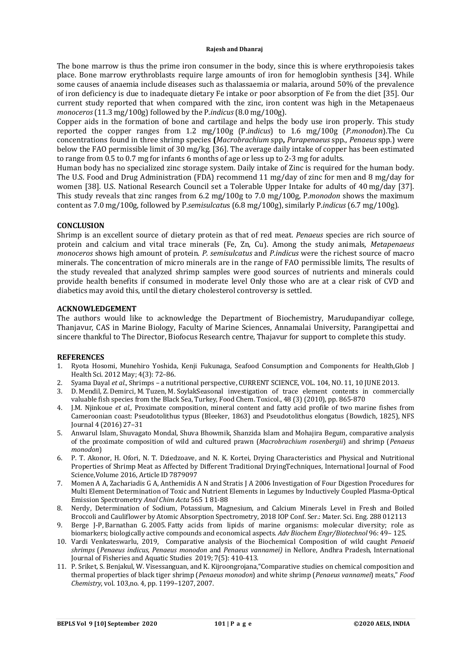The bone marrow is thus the prime iron consumer in the body, since this is where erythropoiesis takes place. Bone marrow erythroblasts require large amounts of iron for hemoglobin synthesis [34]. While some causes of anaemia include diseases such as thalassaemia or malaria, around 50% of the prevalence of iron deficiency is due to inadequate dietary Fe intake or poor absorption of Fe from the diet [35]. Our current study reported that when compared with the zinc, iron content was high in the Metapenaeus *monoceros* (11.3 mg/100g) followed by the P.*indicus* (8.0 mg/100g).

Copper aids in the formation of bone and cartilage and helps the body use iron properly. This study reported the copper ranges from 1.2 mg/100g (P.*indicus*) to 1.6 mg/100g (*P.monodon*).The Cu concentrations found in three shrimp species **(***Macrobrachium* spp**,** *Parapenaeus* spp., *Penaeus* spp.) were below the FAO permissible limit of 30 mg/kg. [36]. The average daily intake of copper has been estimated to range from 0.5 to 0.7 mg for infants 6 months of age or less up to 2-3 mg for adults.

Human body has no specialized zinc storage system. Daily intake of Zinc is required for the human body. The U.S. Food and Drug Administration (FDA) recommend 11 mg/day of zinc for men and 8 mg/day for women [38]. U.S. National Research Council set a Tolerable Upper Intake for adults of 40 mg/day [37]. This study reveals that zinc ranges from 6.2 mg/100g to 7.0 mg/100g, P.*monodon* shows the maximum content as 7.0 mg/100g, followed by P.*semisulcatu*s (6.8 mg/100g), similarly P.*indicus* (6.7 mg/100g).

# **CONCLUSION**

Shrimp is an excellent source of dietary protein as that of red meat. *Penaeus* species are rich source of protein and calcium and vital trace minerals (Fe, Zn, Cu). Among the study animals, *Metapenaeus monoceros* shows high amount of protein. *P. semisulcatus* and *P*.*indicus* were the richest source of macro minerals. The concentration of micro minerals are in the range of FAO permissible limits, The results of the study revealed that analyzed shrimp samples were good sources of nutrients and minerals could provide health benefits if consumed in moderate level Only those who are at a clear risk of CVD and diabetics may avoid this, until the dietary cholesterol controversy is settled.

### **ACKNOWLEDGEMENT**

The authors would like to acknowledge the Department of Biochemistry, Marudupandiyar college, Thanjavur, CAS in Marine Biology, Faculty of Marine Sciences, Annamalai University, Parangipettai and sincere thankful to The Director, Biofocus Research centre, Thajavur for support to complete this study.

### **REFERENCES**

- 1. Ryota Hosomi, Munehiro Yoshida, Kenji Fukunaga, Seafood Consumption and Components for Health,Glob J Health Sci. 2012 May; 4(3): 72–86.
- 2. Syama Dayal *et al.,* Shrimps a nutritional perspective, CURRENT SCIENCE, VOL. 104, NO. 11, 10 JUNE 2013.
- 3. D. Mendil, Z. Demirci, M. Tuzen, M. SoylakSeasonal investigation of trace element contents in commercially valuable fish species from the Black Sea, Turkey, Food Chem. Toxicol., 48 (3) (2010), pp. 865-870
- 4. J.M. Njinkoue *et al.,* Proximate composition, mineral content and fatty acid profile of two marine fishes from Cameroonian coast: Pseudotolithus typus (Bleeker, 1863) and Pseudotolithus elongatus (Bowdich, 1825), NFS Journal 4 (2016) 27–31
- 5. Anwarul Islam, Shuvagato Mondal, Shuva Bhowmik, Shanzida Islam and Mohajira Begum, comparative analysis of the proximate composition of wild and cultured prawn (*Macrobrachium rosenbergii*) and shrimp (*Penaeus monodon*)
- 6. P. T. Akonor, H. Ofori, N. T. Dziedzoave, and N. K. Kortei, Drying Characteristics and Physical and Nutritional Properties of Shrimp Meat as Affected by Different Traditional DryingTechniques, International Journal of Food Science,Volume 2016, Article ID 7879097
- 7. Momen A A, Zachariadis G A, Anthemidis A N and Stratis J A 2006 Investigation of Four Digestion Procedures for Multi Element Determination of Toxic and Nutrient Elements in Legumes by Inductively Coupled Plasma-Optical Emission Spectrometry *Anal Chim Acta* 565 1 81-88
- 8. Nerdy, Determination of Sodium, Potassium, Magnesium, and Calcium Minerals Level in Fresh and Boiled Broccoli and Cauliflower by Atomic Absorption Spectrometry, 2018 IOP Conf. Ser.: Mater. Sci. Eng. 288 012113
- 9. Berge J‐P, Barnathan G. 2005. Fatty acids from lipids of marine organisms: molecular diversity; role as biomarkers; biologically active compounds and economical aspects. *Adv Biochem Engr/Biotechnol* 96: 49– 125.
- 10. Vardi Venkateswarlu, 2019, Comparative analysis of the Biochemical Composition of wild caught *Penaeid shrimps* (*Penaeus indicus*, *Penaeus monodon* and *Penaeus vannamei)* in Nellore, Andhra Pradesh, International Journal of Fisheries and Aquatic Studies 2019; 7(5): 410-413.
- 11. P. Sriket, S. Benjakul, W. Visessanguan, and K. Kijroongrojana,"Comparative studies on chemical composition and thermal properties of black tiger shrimp (*Penaeus monodon*) and white shrimp (*Penaeus vannamei*) meats," *Food Chemistry*, vol. 103,no. 4, pp. 1199–1207, 2007.